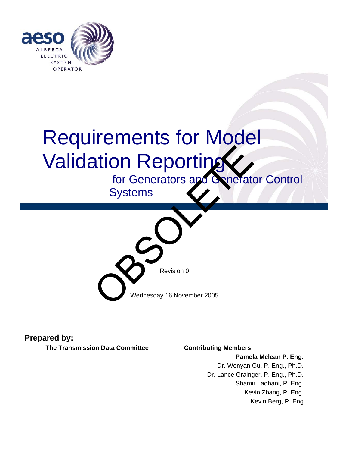

# Validation **Requirements for Validation Reporting** Requirements for Model

for Generators and Generator Control

**Systems** 



**Prepared by:** 

**The Transmission Data Committee Contributing Members** 

**Pamela Mclean P. Eng.** Dr. Wenyan Gu, P. Eng., Ph.D. Dr. Lance Grainger, P. Eng., Ph.D. Shamir Ladhani, P. Eng. Kevin Zhang, P. Eng. Kevin Berg, P. Eng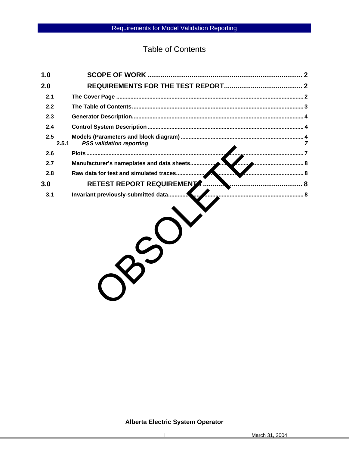**Table of Contents** 

| 1.0 |                                               |  |  |
|-----|-----------------------------------------------|--|--|
| 2.0 |                                               |  |  |
| 2.1 |                                               |  |  |
| 2.2 |                                               |  |  |
| 2.3 |                                               |  |  |
| 2.4 |                                               |  |  |
| 2.5 | <b>PSS validation reporting</b><br>2.5.1<br>7 |  |  |
| 2.6 | . 7                                           |  |  |
| 2.7 | Manufacturer's nameplates and data sheets     |  |  |
| 2.8 | Raw data for test and simulated traces<br>. 8 |  |  |
| 3.0 | RETEST REPORT REQUIREMENT<br>8                |  |  |
| 3.1 | Invariant previously-submitted data           |  |  |
|     |                                               |  |  |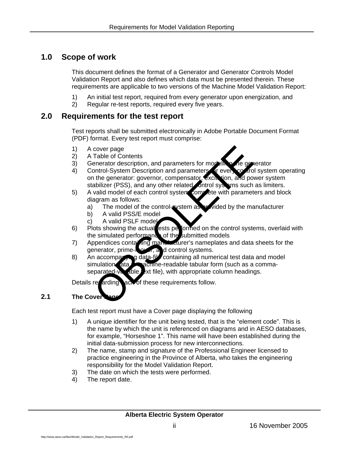## <span id="page-2-0"></span>**1.0 Scope of work**

This document defines the format of a Generator and Generator Controls Model Validation Report and also defines which data must be presented therein. These requirements are applicable to two versions of the Machine Model Validation Report:

- 1) An initial test report, required from every generator upon energization, and
- 2) Regular re-test reports, required every five years.

## <span id="page-2-1"></span>**2.0 Requirements for the test report**

Test reports shall be submitted electronically in Adobe Portable Document Format (PDF) format. Every test report must comprise:

- 1) A cover page
- 2) A Table of Contents
- 3) Generator description, and parameters for modelling the generator
- 4) Control-System Description and parameters for every control system operating on the generator: governor, compensator, excitation, and power system stabilizer (PSS), and any other related control systems such as limiters.
- 5) A valid model of each control system complete with parameters and block diagram as follows:
	- a) The model of the control-system as provided by the manufacturer
	- b) A valid PSS/E model
	- c) A valid PSLF model
- 6) Plots showing the actual ests performed on the control systems, overlaid with the simulated performance of the submitted models
- 7) Appendices containing manufacturer's nameplates and data sheets for the generator, prime-mover, and control systems.
- 8) An accompanying data-fill containing all numerical test data and model simulation ata achine-readable tabular form (such as a commaseparated-variable text file), with appropriate column headings. Contents and parameters for modelling the distantion and parameters for modelling the distantion of the generator: governor, compensator with ion, and po<br>abilizer (PSS), and any other related ontrol systems such valid mode

Details recarding act of these requirements follow.

## **2.1** The Cover

Each test report must have a Cover page displaying the following

- 1) A unique identifier for the unit being tested, that is the "element code". This is the name by which the unit is referenced on diagrams and in AESO databases, for example, "Horseshoe 1". This name will have been established during the initial data-submission process for new interconnections.
- 2) The name, stamp and signature of the Professional Engineer licensed to practice engineering in the Province of Alberta, who takes the engineering responsibility for the Model Validation Report.
- 3) The date on which the tests were performed.
- 4) The report date.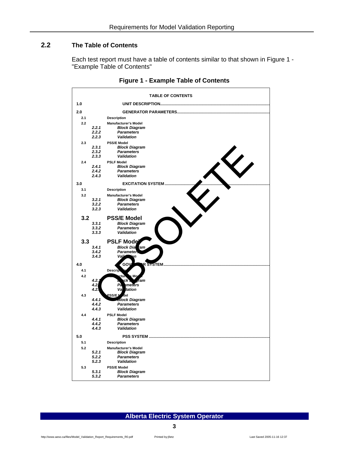## <span id="page-3-0"></span>**2.2 The Table of Contents**

Each test report must have a table of contents similar to that shown in Figure 1 - "Example Table of Contents"

| <b>TABLE OF CONTENTS</b> |                         |                                                                                               |               |  |
|--------------------------|-------------------------|-----------------------------------------------------------------------------------------------|---------------|--|
| 1.0                      |                         |                                                                                               |               |  |
| 2.0                      |                         |                                                                                               |               |  |
| 2.1                      |                         | <b>Description</b>                                                                            |               |  |
| 2.2                      | 2.2.1<br>2.2.2<br>2.2.3 | <b>Manufacturer's Model</b><br><b>Block Diagram</b><br><b>Parameters</b><br><b>Validation</b> |               |  |
| 2.3                      | 2.3.1<br>2.3.2<br>2.3.3 | <b>PSS/E Model</b><br><b>Block Diagram</b><br><b>Parameters</b><br>Validation                 |               |  |
| 2.4                      | 2.4.1<br>2.4.2<br>2.4.3 | <b>PSLF Model</b><br><b>Block Diagram</b><br><b>Parameters</b><br>Validation                  |               |  |
| 3.0                      |                         | <b>EXCITATION SYSTEM.</b>                                                                     |               |  |
| 3.1                      |                         | <b>Description</b>                                                                            |               |  |
| 3.2                      | 3.2.1<br>3.2.2<br>3.2.3 | <b>Manufacturer's Model</b><br><b>Block Diagram</b><br><b>Parameters</b><br>Validation        |               |  |
| 3.2                      |                         | <b>PSS/E Model</b>                                                                            |               |  |
|                          | 3,3,1                   | <b>Block Diagram</b>                                                                          |               |  |
|                          | 3.3.2                   | <b>Parameters</b>                                                                             |               |  |
|                          | 3.3.3                   | Validation                                                                                    |               |  |
| 3.3                      |                         | <b>PSLF Mode</b>                                                                              |               |  |
|                          | 3.4.1                   | <b>Block Dia</b><br>ram                                                                       |               |  |
|                          | 3.4.2                   | Parametei                                                                                     |               |  |
|                          | 3.4.3                   | Vali                                                                                          |               |  |
| 4.0                      |                         | GOV<br>s                                                                                      | <b>STSTEM</b> |  |
| 4.1                      |                         | <b>Descrip</b>                                                                                |               |  |
| 4.2                      | 4.2.<br>4.21<br>4.2     | ctur<br>Mo<br>(ck<br>ram<br>meters<br>Pà<br>Va<br>dation                                      |               |  |
| 4.3                      | 4.4.1<br>4.4.2<br>4.4.3 | <b>PSS/EN</b><br>del<br>Block Diagram<br><b>Parameters</b><br><b>Validation</b>               |               |  |
| 4.4                      | 4.4.1<br>4.4.2<br>4.4.3 | <b>PSLF Model</b><br><b>Block Diagram</b><br><b>Parameters</b><br><b>Validation</b>           |               |  |
| 5.0                      |                         |                                                                                               |               |  |
| 5.1                      |                         | <b>Description</b>                                                                            |               |  |
| 5.2                      | 5.2.1<br>5.2.2<br>5.2.3 | <b>Manufacturer's Model</b><br><b>Block Diagram</b><br><b>Parameters</b><br><b>Validation</b> |               |  |
| 5.3                      | 5.3.1<br>5.3.2          | <b>PSS/E Model</b><br><b>Block Diagram</b><br><b>Parameters</b>                               |               |  |

#### **Figure 1 - Example Table of Contents**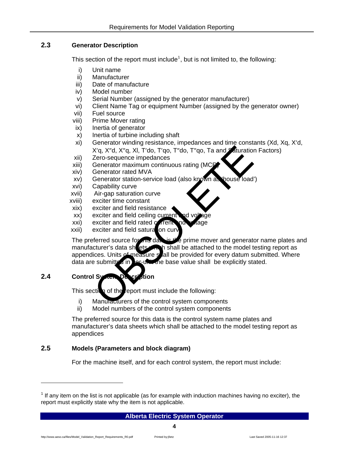#### <span id="page-4-0"></span>**2.3 Generator Description**

This section of the report must include<sup>[1](#page-4-1)</sup>, but is not limited to, the following:

- i) Unit name
- ii) Manufacturer
- iii) Date of manufacture
- iv) Model number
- v) Serial Number (assigned by the generator manufacturer)
- vi) Client Name Tag or equipment Number (assigned by the generator owner)
- vii) Fuel source
- viii) Prime Mover rating
- ix) Inertia of generator
- x) Inertia of turbine including shaft
- xi) Generator winding resistance, impedances and time constants (Xd, Xq, X′d, X′q, X″d, X″q, Xl, T′do, T′qo, T″do, T″qo, Ta and Saturation Factors)
- xii) Zero-sequence impedances
- xiii) Generator maximum continuous rating (MCR)
- xiv) Generator rated MVA
- xv) Generator station-service load (also known as 'house load')
- xvi) Capability curve
- xvii) Air-gap saturation curve
- xviii) exciter time constant
- xix) exciter and field resistance
- $xx$ ) exciter and field ceiling current
- $xxi)$  exciter and field rated current
- $xxii)$  exciter and field saturation curve

The preferred source for this data is the prime mover and generator name plates and manufacturer's data sheets. An high shall be attached to the model testing report as appendices. Units of measure shall be provided for every datum submitted. Where data are submitted in  $\Delta x$ -unit the base value shall be explicitly stated. X'q, X"d, X"q, XI, T'do, T'qo, T"do, T"qo, Ta and Aturation<br>
Zero-sequence impedances<br>
Generator maximum continuous rating (MCP)<br>
Zero-sequence impedances<br>
Generator maximum continuous rating (MCP)<br>
Capability curve<br>
Air-g

## **2.4 Control System Description**

This section of the report must include the following:

- i) Manufacturers of the control system components
- ii) Model numbers of the control system components

The preferred source for this data is the control system name plates and manufacturer's data sheets which shall be attached to the model testing report as appendices

### **2.5 Models (Parameters and block diagram)**

For the machine itself, and for each control system, the report must include:

#### **Alberta Electric System Operator 4**

<span id="page-4-1"></span> $1$  If any item on the list is not applicable (as for example with induction machines having no exciter), the report must explicitly state why the item is not applicable.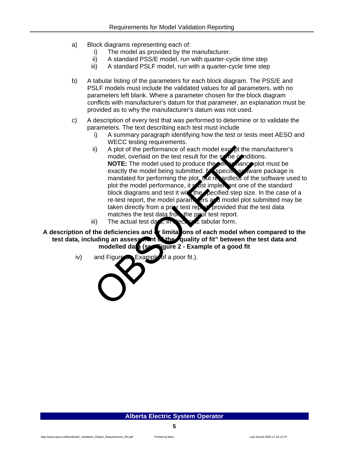- a) Block diagrams representing each of:
	- i) The model as provided by the manufacturer.
	- ii) A standard PSS/E model, run with quarter-cycle time step
	- iii) A standard PSLF model, run with a quarter-cycle time step
- b) A tabular listing of the parameters for each block diagram. The PSS/E and PSLF models must include the validated values for all parameters, with no parameters left blank. Where a parameter chosen for the block diagram conflicts with manufacturer's datum for that parameter, an explanation must be provided as to why the manufacturer's datum was not used.
- c) A description of every test that was performed to determine or to validate the parameters. The text describing each test must include
	- i) A summary paragraph identifying how the test or tests meet AESO and WECC testing requirements.
	- ii) A plot of the performance of each model  $exc$  of the manufacturer's model, overlaid on the test result for the same conditions. **NOTE:** The model used to produce the performance plot must be exactly the model being submitted. No specific software package is mandated for performing the plot, but regardless of the software used to plot the model performance, it must implement one of the standard block diagrams and test it with the pecified step size. In the case of a re-test report, the model parameters and model plot submitted may be taken directly from a prior test report, provided that the test data matches the test data from the prior test report. ii) A plot of the performance of each model except the n<br>model, overlaid on the test result for the scheen and<br>exactly the model used to produce the set rance exactly the model being submitted. Nepecifies of the<br>mandated f
	- iii) The actual test data, in Nectronic tabular form.

A description of the deficiencies and **or limitations of each model when compared to the test data, including an assessment of the "quality of fit" between the test data and**  modelled data (sectionure 2 - Example of a good fit

 $iv)$  and Figure  $\bullet$  Example of a poor fit.).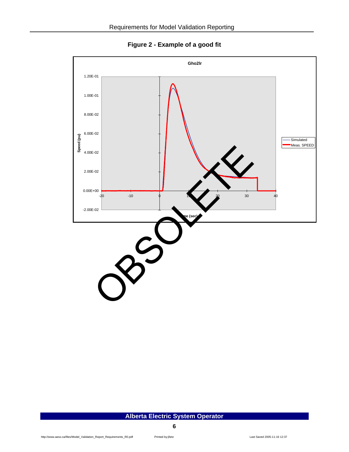**Figure 2 - Example of a good fit** 

<span id="page-6-0"></span>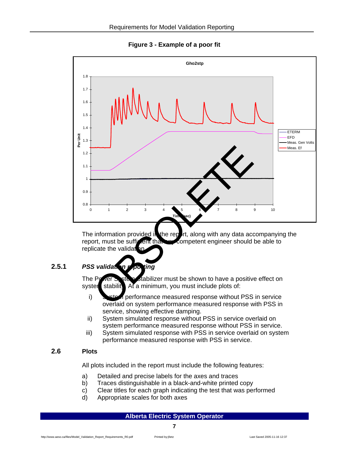**Figure 3 - Example of a poor fit** 

<span id="page-7-1"></span><span id="page-7-0"></span>

The information provided in the report, along with any data accompanying the report, must be sufficient that any competent engineer should be able to replicate the validat

## **2.5.1** *PSS validation reporting*

The Power System Stabilizer must be shown to have a positive effect on system stability. At a minimum, you must include plots of:

- i) System performance measured response without PSS in service overlaid on system performance measured response with PSS in service, showing effective damping.
- ii) System simulated response without PSS in service overlaid on system performance measured response without PSS in service.
- iii) System simulated response with PSS in service overlaid on system performance measured response with PSS in service.

#### **2.6 Plots**

All plots included in the report must include the following features:

- a) Detailed and precise labels for the axes and traces
- b) Traces distinguishable in a black-and-white printed copy
- c) Clear titles for each graph indicating the test that was performed
- d) Appropriate scales for both axes